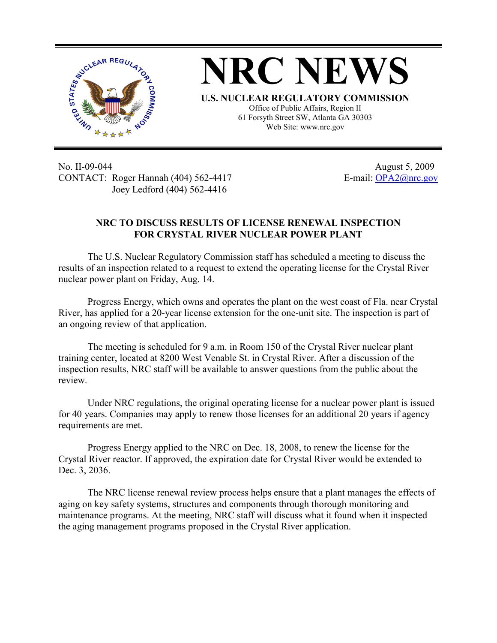



Office of Public Affairs, Region II 61 Forsyth Street SW, Atlanta GA 30303 Web Site: www.nrc.gov

No. II-09-044 August 5, 2009 CONTACT: Roger Hannah (404) 562-4417 E-mail: OPA2@nrc.gov Joey Ledford (404) 562-4416

## **NRC TO DISCUSS RESULTS OF LICENSE RENEWAL INSPECTION FOR CRYSTAL RIVER NUCLEAR POWER PLANT**

The U.S. Nuclear Regulatory Commission staff has scheduled a meeting to discuss the results of an inspection related to a request to extend the operating license for the Crystal River nuclear power plant on Friday, Aug. 14.

Progress Energy, which owns and operates the plant on the west coast of Fla. near Crystal River, has applied for a 20-year license extension for the one-unit site. The inspection is part of an ongoing review of that application.

The meeting is scheduled for 9 a.m. in Room 150 of the Crystal River nuclear plant training center, located at 8200 West Venable St. in Crystal River. After a discussion of the inspection results, NRC staff will be available to answer questions from the public about the review.

Under NRC regulations, the original operating license for a nuclear power plant is issued for 40 years. Companies may apply to renew those licenses for an additional 20 years if agency requirements are met.

Progress Energy applied to the NRC on Dec. 18, 2008, to renew the license for the Crystal River reactor. If approved, the expiration date for Crystal River would be extended to Dec. 3, 2036.

The NRC license renewal review process helps ensure that a plant manages the effects of aging on key safety systems, structures and components through thorough monitoring and maintenance programs. At the meeting, NRC staff will discuss what it found when it inspected the aging management programs proposed in the Crystal River application.